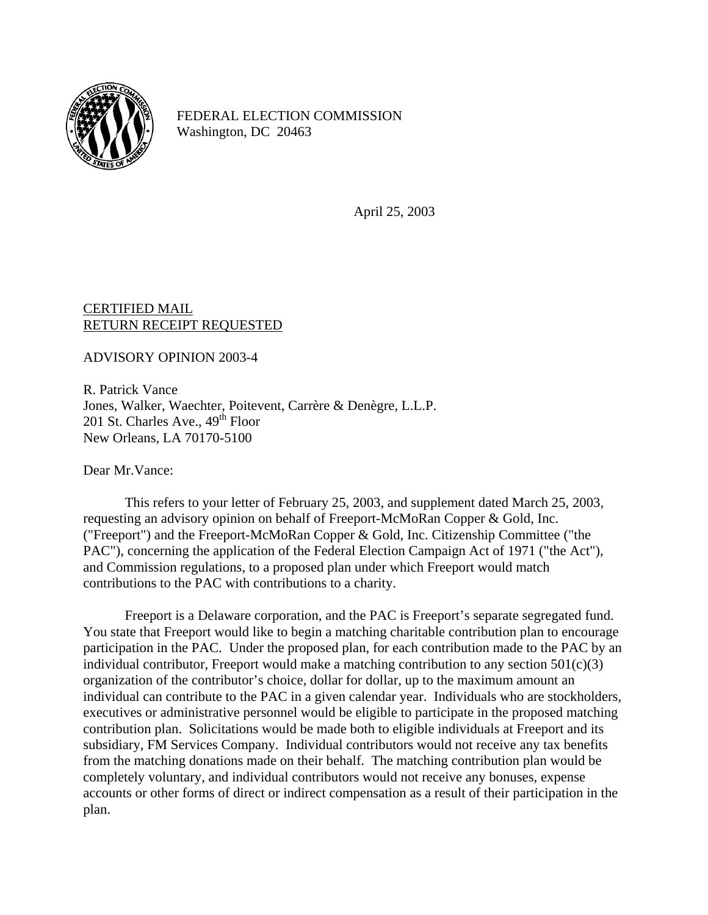

FEDERAL ELECTION COMMISSION Washington, DC 20463

April 25, 2003

## CERTIFIED MAIL RETURN RECEIPT REQUESTED

ADVISORY OPINION 2003-4

R. Patrick Vance Jones, Walker, Waechter, Poitevent, Carrère & Denègre, L.L.P. 201 St. Charles Ave.,  $49<sup>th</sup>$  Floor New Orleans, LA 70170-5100

Dear Mr.Vance:

This refers to your letter of February 25, 2003, and supplement dated March 25, 2003, requesting an advisory opinion on behalf of Freeport-McMoRan Copper & Gold, Inc. ("Freeport") and the Freeport-McMoRan Copper & Gold, Inc. Citizenship Committee ("the PAC"), concerning the application of the Federal Election Campaign Act of 1971 ("the Act"), and Commission regulations, to a proposed plan under which Freeport would match contributions to the PAC with contributions to a charity.

Freeport is a Delaware corporation, and the PAC is Freeport's separate segregated fund. You state that Freeport would like to begin a matching charitable contribution plan to encourage participation in the PAC. Under the proposed plan, for each contribution made to the PAC by an individual contributor, Freeport would make a matching contribution to any section  $501(c)(3)$ organization of the contributor's choice, dollar for dollar, up to the maximum amount an individual can contribute to the PAC in a given calendar year. Individuals who are stockholders, executives or administrative personnel would be eligible to participate in the proposed matching contribution plan. Solicitations would be made both to eligible individuals at Freeport and its subsidiary, FM Services Company. Individual contributors would not receive any tax benefits from the matching donations made on their behalf. The matching contribution plan would be completely voluntary, and individual contributors would not receive any bonuses, expense accounts or other forms of direct or indirect compensation as a result of their participation in the plan.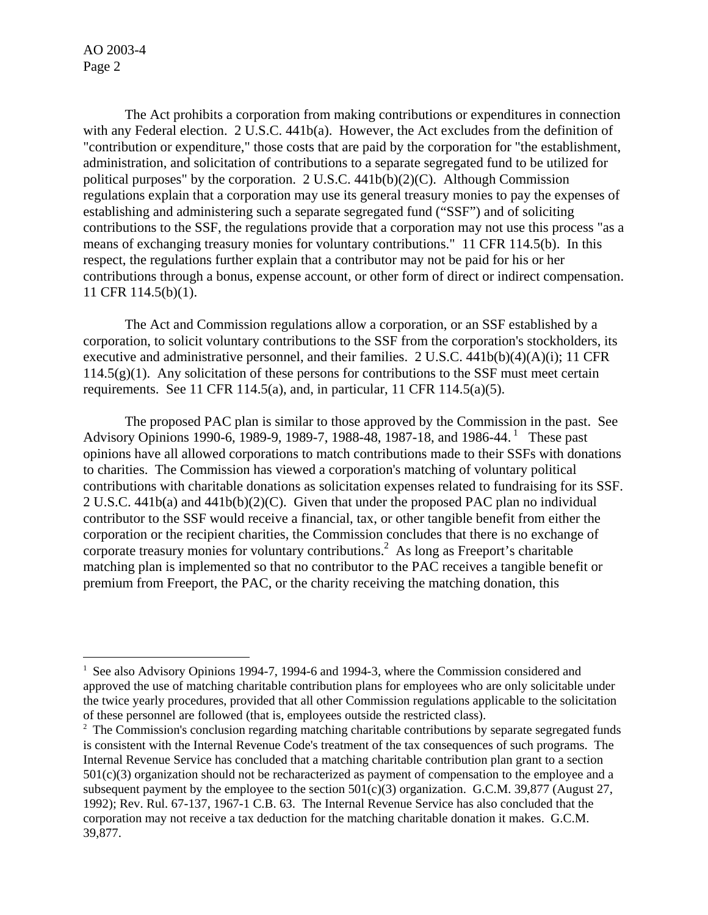AO 2003-4 Page 2

 $\overline{a}$ 

 The Act prohibits a corporation from making contributions or expenditures in connection with any Federal election. 2 U.S.C. 441b(a). However, the Act excludes from the definition of "contribution or expenditure," those costs that are paid by the corporation for "the establishment, administration, and solicitation of contributions to a separate segregated fund to be utilized for political purposes" by the corporation. 2 U.S.C. 441b(b)(2)(C). Although Commission regulations explain that a corporation may use its general treasury monies to pay the expenses of establishing and administering such a separate segregated fund ("SSF") and of soliciting contributions to the SSF, the regulations provide that a corporation may not use this process "as a means of exchanging treasury monies for voluntary contributions." 11 CFR 114.5(b). In this respect, the regulations further explain that a contributor may not be paid for his or her contributions through a bonus, expense account, or other form of direct or indirect compensation. 11 CFR 114.5(b)(1).

 The Act and Commission regulations allow a corporation, or an SSF established by a corporation, to solicit voluntary contributions to the SSF from the corporation's stockholders, its executive and administrative personnel, and their families. 2 U.S.C. 441b(b)(4)(A)(i); 11 CFR  $114.5(g)(1)$ . Any solicitation of these persons for contributions to the SSF must meet certain requirements. See 11 CFR 114.5(a), and, in particular, 11 CFR 114.5(a)(5).

 The proposed PAC plan is similar to those approved by the Commission in the past. See Advisory Opinions 1990-6, 1989-9, 1989-7, 1988-48, 1987-18, and 1986-44.<sup>1</sup> These past opinions have all allowed corporations to match contributions made to their SSFs with donations to charities. The Commission has viewed a corporation's matching of voluntary political contributions with charitable donations as solicitation expenses related to fundraising for its SSF. 2 U.S.C. 441b(a) and 441b(b)(2)(C). Given that under the proposed PAC plan no individual contributor to the SSF would receive a financial, tax, or other tangible benefit from either the corporation or the recipient charities, the Commission concludes that there is no exchange of corporate treasury monies for voluntary contributions.<sup>2</sup> As long as Freeport's charitable matching plan is implemented so that no contributor to the PAC receives a tangible benefit or premium from Freeport, the PAC, or the charity receiving the matching donation, this

<span id="page-1-0"></span><sup>&</sup>lt;sup>1</sup> See also Advisory Opinions 1994-7, 1994-6 and 1994-3, where the Commission considered and approved the use of matching charitable contribution plans for employees who are only solicitable under the twice yearly procedures, provided that all other Commission regulations applicable to the solicitation of these personnel are followed (that is, employees outside the restricted class). 2

<span id="page-1-1"></span> $2$  The Commission's conclusion regarding matching charitable contributions by separate segregated funds is consistent with the Internal Revenue Code's treatment of the tax consequences of such programs. The Internal Revenue Service has concluded that a matching charitable contribution plan grant to a section 501(c)(3) organization should not be recharacterized as payment of compensation to the employee and a subsequent payment by the employee to the section  $501(c)(3)$  organization. G.C.M. 39,877 (August 27, 1992); Rev. Rul. 67-137, 1967-1 C.B. 63. The Internal Revenue Service has also concluded that the corporation may not receive a tax deduction for the matching charitable donation it makes. G.C.M. 39,877.